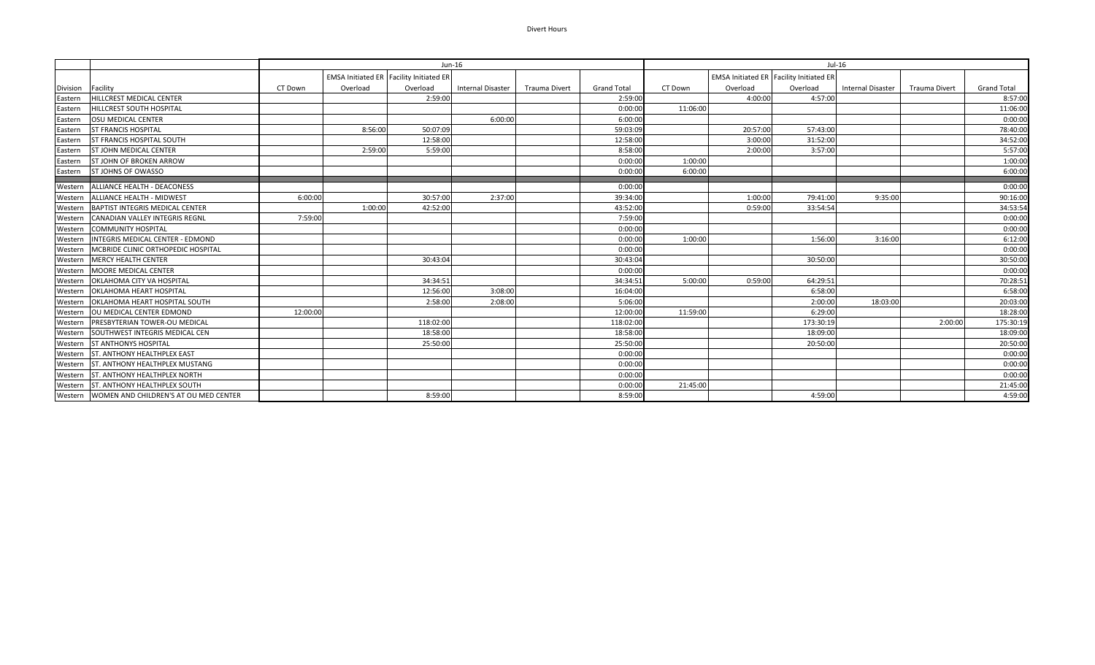## Divert Hours

|          |                                                 | Jun-16   |          |                                                |                          |                      | Jul-16             |          |                                                |           |                   |               |                    |
|----------|-------------------------------------------------|----------|----------|------------------------------------------------|--------------------------|----------------------|--------------------|----------|------------------------------------------------|-----------|-------------------|---------------|--------------------|
|          |                                                 |          |          | <b>EMSA Initiated ER Facility Initiated ER</b> |                          |                      |                    |          | <b>EMSA Initiated ER Facility Initiated ER</b> |           |                   |               |                    |
| Division | Facility                                        | CT Down  | Overload | Overload                                       | <b>Internal Disaster</b> | <b>Trauma Divert</b> | <b>Grand Total</b> | CT Down  | Overload                                       | Overload  | Internal Disaster | Trauma Divert | <b>Grand Total</b> |
| Eastern  | HILLCREST MEDICAL CENTER                        |          |          | 2:59:00                                        |                          |                      | 2:59:00            |          | 4:00:00                                        | 4:57:00   |                   |               | 8:57:00            |
| Eastern  | <b>HILLCREST SOUTH HOSPITAL</b>                 |          |          |                                                |                          |                      | 0:00:0             | 11:06:00 |                                                |           |                   |               | 11:06:00           |
| Eastern  | <b>OSU MEDICAL CENTER</b>                       |          |          |                                                | 6:00:00                  |                      | 6:00:0             |          |                                                |           |                   |               | 0:00:00            |
| Eastern  | <b>ST FRANCIS HOSPITAL</b>                      |          | 8:56:00  | 50:07:09                                       |                          |                      | 59:03:09           |          | 20:57:00                                       | 57:43:00  |                   |               | 78:40:00           |
| Eastern  | <b>ST FRANCIS HOSPITAL SOUTH</b>                |          |          | 12:58:00                                       |                          |                      | 12:58:0            |          | 3:00:00                                        | 31:52:00  |                   |               | 34:52:00           |
| Eastern  | <b>ST JOHN MEDICAL CENTER</b>                   |          | 2:59:00  | 5:59:00                                        |                          |                      | 8:58:00            |          | 2:00:00                                        | 3:57:00   |                   |               | 5:57:00            |
| Eastern  | <b>ST JOHN OF BROKEN ARROW</b>                  |          |          |                                                |                          |                      | 0:00:00            | 1:00:00  |                                                |           |                   |               | 1:00:00            |
| Eastern  | <b>ST JOHNS OF OWASSO</b>                       |          |          |                                                |                          |                      | 0:00:0             | 6:00:00  |                                                |           |                   |               | 6:00:00            |
| Western  | ALLIANCE HEALTH - DEACONESS                     |          |          |                                                |                          |                      | 0:00:0             |          |                                                |           |                   |               | 0:00:00            |
| Western  | ALLIANCE HEALTH - MIDWEST                       | 6:00:00  |          | 30:57:00                                       | 2:37:00                  |                      | 39:34:0            |          | 1:00:00                                        | 79:41:00  | 9:35:00           |               | 90:16:00           |
|          | Western BAPTIST INTEGRIS MEDICAL CENTER         |          | 1:00:00  | 42:52:00                                       |                          |                      | 43:52:0            |          | 0:59:00                                        | 33:54:54  |                   |               | 34:53:54           |
|          | Western CANADIAN VALLEY INTEGRIS REGNL          | 7:59:00  |          |                                                |                          |                      | 7:59:00            |          |                                                |           |                   |               | 0:00:00            |
| Western  | <b>COMMUNITY HOSPITAL</b>                       |          |          |                                                |                          |                      | 0:00:00            |          |                                                |           |                   |               | 0:00:00            |
| Western  | INTEGRIS MEDICAL CENTER - EDMOND                |          |          |                                                |                          |                      | 0:00:00            | 1:00:00  |                                                | 1:56:00   | 3:16:00           |               | 6:12:00            |
| Western  | MCBRIDE CLINIC ORTHOPEDIC HOSPITAL              |          |          |                                                |                          |                      | 0:00:0             |          |                                                |           |                   |               | 0:00:00            |
| Western  | <b>MERCY HEALTH CENTER</b>                      |          |          | 30:43:04                                       |                          |                      | 30:43:04           |          |                                                | 30:50:00  |                   |               | 30:50:00           |
| Western  | <b>MOORE MEDICAL CENTER</b>                     |          |          |                                                |                          |                      | 0:00:0             |          |                                                |           |                   |               | 0:00:00            |
| Western  | OKLAHOMA CITY VA HOSPITAL                       |          |          | 34:34:51                                       |                          |                      | 34:34:53           | 5:00:00  | 0:59:00                                        | 64:29:51  |                   |               | 70:28:51           |
|          | Western   OKLAHOMA HEART HOSPITAL               |          |          | 12:56:00                                       | 3:08:00                  |                      | 16:04:00           |          |                                                | 6:58:00   |                   |               | 6:58:00            |
| Western  | OKLAHOMA HEART HOSPITAL SOUTH                   |          |          | 2:58:00                                        | 2:08:00                  |                      | 5:06:00            |          |                                                | 2:00:00   | 18:03:00          |               | 20:03:00           |
| Western  | OU MEDICAL CENTER EDMOND                        | 12:00:00 |          |                                                |                          |                      | 12:00:0            | 11:59:00 |                                                | 6:29:00   |                   |               | 18:28:00           |
| Western  | PRESBYTERIAN TOWER-OU MEDICAL                   |          |          | 118:02:00                                      |                          |                      | 118:02:0           |          |                                                | 173:30:19 |                   | 2:00:00       | 175:30:19          |
|          | Western SOUTHWEST INTEGRIS MEDICAL CEN          |          |          | 18:58:00                                       |                          |                      | 18:58:00           |          |                                                | 18:09:00  |                   |               | 18:09:00           |
| Western  | <b>ST ANTHONYS HOSPITAL</b>                     |          |          | 25:50:00                                       |                          |                      | 25:50:0            |          |                                                | 20:50:00  |                   |               | 20:50:00           |
|          | Western ST. ANTHONY HEALTHPLEX EAST             |          |          |                                                |                          |                      | 0:00:0             |          |                                                |           |                   |               | 0:00:00            |
|          | Western ST. ANTHONY HEALTHPLEX MUSTANG          |          |          |                                                |                          |                      | 0:00:0             |          |                                                |           |                   |               | 0:00:00            |
|          | Western ST. ANTHONY HEALTHPLEX NORTH            |          |          |                                                |                          |                      | 0:00:00            |          |                                                |           |                   |               | 0:00:00            |
| Western  | <b>ST. ANTHONY HEALTHPLEX SOUTH</b>             |          |          |                                                |                          |                      | 0:00:0             | 21:45:00 |                                                |           |                   |               | 21:45:00           |
|          | Western   WOMEN AND CHILDREN'S AT OU MED CENTER |          |          | 8:59:00                                        |                          |                      | 8:59:00            |          |                                                | 4:59:00   |                   |               | 4:59:00            |